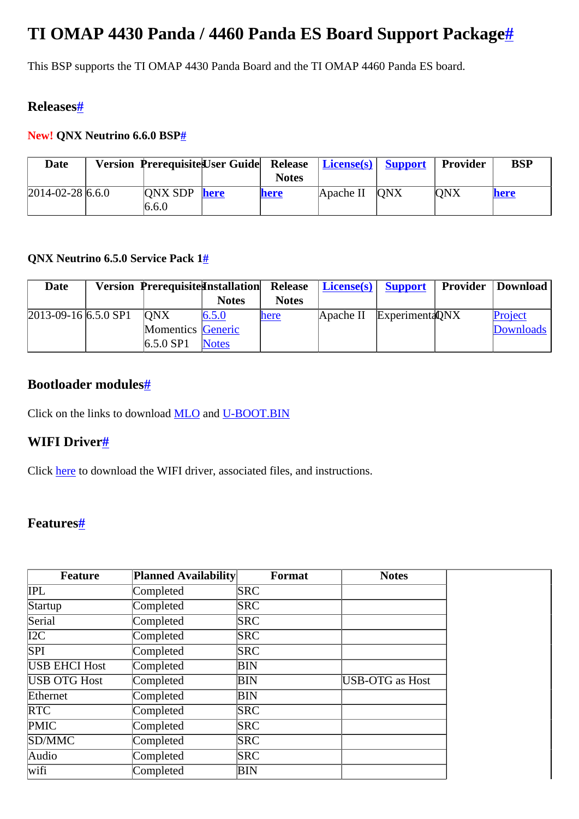# <span id="page-0-0"></span>**TI OMAP 4430 Panda / 4460 Panda ES Board Support Packag[e#](#page-0-0)**

This BSP supports the TI OMAP 4430 Panda Board and the TI OMAP 4460 Panda ES board.

# <span id="page-0-1"></span>**Release[s#](#page-0-1)**

## <span id="page-0-2"></span>**New! QNX Neutrino 6.6.0 BSP[#](#page-0-2)**

| <b>Date</b>          | Version Prerequisite User Guide Release   License(s)   Support |      |              |                             | <b>Provider</b> | <b>BSP</b> |
|----------------------|----------------------------------------------------------------|------|--------------|-----------------------------|-----------------|------------|
|                      |                                                                |      | <b>Notes</b> |                             |                 |            |
| $ 2014-02-28 6.6.0 $ | ONX SDP                                                        | here | <b>here</b>  | $\Delta$ Apache II $\Delta$ | <b>ONX</b>      | here       |
|                      | 6.6.0                                                          |      |              |                             |                 |            |

## <span id="page-0-3"></span>**QNX Neutrino 6.5.0 Service Pack 1[#](#page-0-3)**

| <b>Date</b>              | <b>Version Prerequisite Installation</b> |              |              | Release   License(s)   Support |                           | <b>Provider   Download  </b> |
|--------------------------|------------------------------------------|--------------|--------------|--------------------------------|---------------------------|------------------------------|
|                          |                                          | <b>Notes</b> | <b>Notes</b> |                                |                           |                              |
| $[2013-09-16]$ 6.5.0 SP1 | <b>ONX</b>                               | 6.5.0        | here         |                                | Apache II Experimenta ONX | Project                      |
|                          | Momentics Generic                        |              |              |                                |                           | <b>Downloads</b>             |
|                          | $6.5.0$ SP1                              | <b>Notes</b> |              |                                |                           |                              |

# <span id="page-0-4"></span>**Bootloader module[s#](#page-0-4)**

Click on the links to download [MLO](http://community.qnx.com/sf/frs/do/viewRelease/projects.bsp/frs.texas_instruments_omap_4430_pand.mlo_binary) and [U-BOOT.BIN](http://community.qnx.com/sf/frs/do/viewRelease/projects.bsp/frs.texas_instruments_omap_4430_pand.u_boot_bin)

# <span id="page-0-5"></span>**WIFI Drive[r#](#page-0-5)**

Click [here](http://community.qnx.com/sf/frs/do/viewRelease/projects.bsp/frs.texas_instruments_wl12xx_wireles.texas_instruments_wl12xx_wireles) to download the WIFI driver, associated files, and instructions.

# <span id="page-0-6"></span>**Features[#](#page-0-6)**

| <b>Feature</b>       | <b>Planned Availability</b> | Format     | <b>Notes</b>    |
|----------------------|-----------------------------|------------|-----------------|
| <b>IPL</b>           | Completed                   | <b>SRC</b> |                 |
| Startup              | Completed                   | <b>SRC</b> |                 |
| Serial               | Completed                   | <b>SRC</b> |                 |
| $\overline{I2C}$     | Completed                   | <b>SRC</b> |                 |
| SPI                  | Completed                   | <b>SRC</b> |                 |
| <b>USB EHCI Host</b> | Completed                   | ΒIΝ        |                 |
| USB OTG Host         | Completed                   | BIN        | USB-OTG as Host |
| Ethernet             | Completed                   | BIN        |                 |
| <b>RTC</b>           | Completed                   | <b>SRC</b> |                 |
| <b>PMIC</b>          | Completed                   | <b>SRC</b> |                 |
| SD/MMC               | Completed                   | <b>SRC</b> |                 |
| Audio                | Completed                   | <b>SRC</b> |                 |
| wifi                 | Completed                   | BIN        |                 |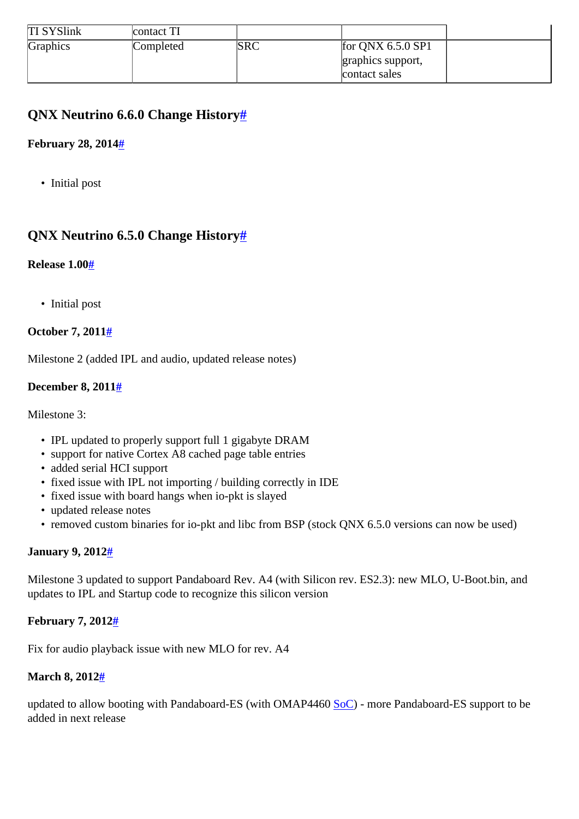| <b>TI SYSlink</b> | contact TI |            |                     |  |
|-------------------|------------|------------|---------------------|--|
| Graphics          | Completed  | <b>SRC</b> | for QNX $6.5.0$ SP1 |  |
|                   |            |            | graphics support,   |  |
|                   |            |            | contact sales       |  |

# <span id="page-1-0"></span>**QNX Neutrino 6.6.0 Change History[#](#page-1-0)**

## <span id="page-1-1"></span>**February 28, 201[4#](#page-1-1)**

• Initial post

# <span id="page-1-2"></span>**QNX Neutrino 6.5.0 Change History[#](#page-1-2)**

#### <span id="page-1-3"></span>**Release 1.00[#](#page-1-3)**

• Initial post

## <span id="page-1-4"></span>**October 7, 201[1#](#page-1-4)**

Milestone 2 (added IPL and audio, updated release notes)

#### <span id="page-1-5"></span>**December 8, 201[1#](#page-1-5)**

Milestone 3:

- IPL updated to properly support full 1 gigabyte DRAM
- support for native Cortex A8 cached page table entries
- added serial HCI support
- fixed issue with IPL not importing / building correctly in IDE
- fixed issue with board hangs when io-pkt is slayed
- updated release notes
- removed custom binaries for io-pkt and libc from BSP (stock QNX 6.5.0 versions can now be used)

#### <span id="page-1-6"></span>**January 9, 201[2#](#page-1-6)**

Milestone 3 updated to support Pandaboard Rev. A4 (with Silicon rev. ES2.3): new MLO, U-Boot.bin, and updates to IPL and Startup code to recognize this silicon version

## <span id="page-1-7"></span>**February 7, 201[2#](#page-1-7)**

Fix for audio playback issue with new MLO for rev. A4

#### <span id="page-1-8"></span>**March 8, 201[2#](#page-1-8)**

updated to allow booting with Pandaboard-ES (with OMAP4460 [SoC\)](http://community.qnx.com/sf/wiki/do/createPage/projects.bsp/wiki?pageName=SoC&referrerPageName=TexasInstrumentsOMAP4430Panda) - more Pandaboard-ES support to be added in next release